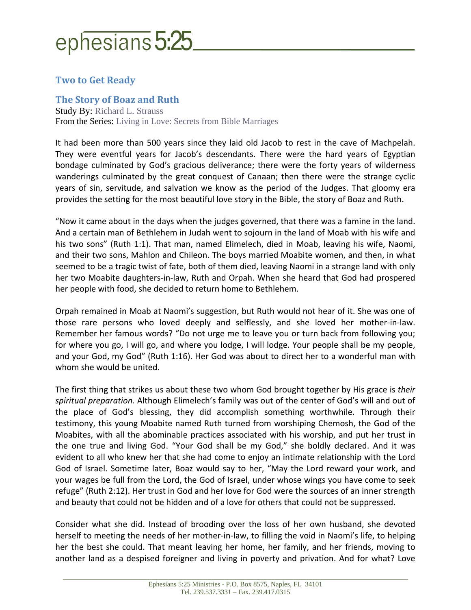## ephesians 5:25

## **Two to Get Ready**

## **The Story of Boaz and Ruth**

Study By: Richard L. Strauss From the Series: Living in Love: Secrets from Bible Marriages

It had been more than 500 years since they laid old Jacob to rest in the cave of Machpelah. They were eventful years for Jacob's descendants. There were the hard years of Egyptian bondage culminated by God's gracious deliverance; there were the forty years of wilderness wanderings culminated by the great conquest of Canaan; then there were the strange cyclic years of sin, servitude, and salvation we know as the period of the Judges. That gloomy era provides the setting for the most beautiful love story in the Bible, the story of Boaz and Ruth.

"Now it came about in the days when the judges governed, that there was a famine in the land. And a certain man of Bethlehem in Judah went to sojourn in the land of Moab with his wife and his two sons" (Ruth 1:1). That man, named Elimelech, died in Moab, leaving his wife, Naomi, and their two sons, Mahlon and Chileon. The boys married Moabite women, and then, in what seemed to be a tragic twist of fate, both of them died, leaving Naomi in a strange land with only her two Moabite daughters‐in‐law, Ruth and Orpah. When she heard that God had prospered her people with food, she decided to return home to Bethlehem.

Orpah remained in Moab at Naomi's suggestion, but Ruth would not hear of it. She was one of those rare persons who loved deeply and selflessly, and she loved her mother‐in‐law. Remember her famous words? "Do not urge me to leave you or turn back from following you; for where you go, I will go, and where you lodge, I will lodge. Your people shall be my people, and your God, my God" (Ruth 1:16). Her God was about to direct her to a wonderful man with whom she would be united.

The first thing that strikes us about these two whom God brought together by His grace is *their spiritual preparation.* Although Elimelech's family was out of the center of God's will and out of the place of God's blessing, they did accomplish something worthwhile. Through their testimony, this young Moabite named Ruth turned from worshiping Chemosh, the God of the Moabites, with all the abominable practices associated with his worship, and put her trust in the one true and living God. "Your God shall be my God," she boldly declared. And it was evident to all who knew her that she had come to enjoy an intimate relationship with the Lord God of Israel. Sometime later, Boaz would say to her, "May the Lord reward your work, and your wages be full from the Lord, the God of Israel, under whose wings you have come to seek refuge" (Ruth 2:12). Her trust in God and her love for God were the sources of an inner strength and beauty that could not be hidden and of a love for others that could not be suppressed.

Consider what she did. Instead of brooding over the loss of her own husband, she devoted herself to meeting the needs of her mother-in-law, to filling the void in Naomi's life, to helping her the best she could. That meant leaving her home, her family, and her friends, moving to another land as a despised foreigner and living in poverty and privation. And for what? Love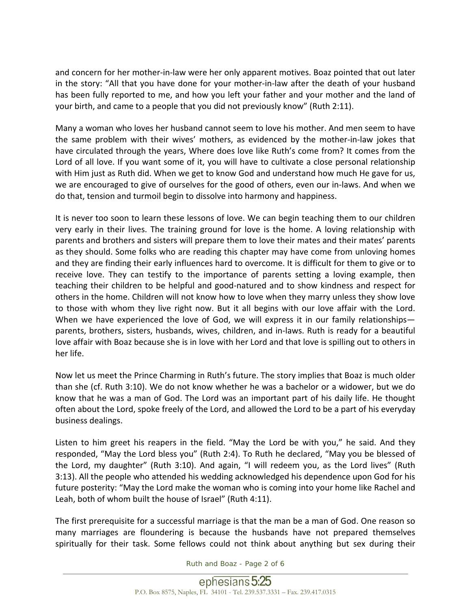and concern for her mother-in-law were her only apparent motives. Boaz pointed that out later in the story: "All that you have done for your mother‐in‐law after the death of your husband has been fully reported to me, and how you left your father and your mother and the land of your birth, and came to a people that you did not previously know" (Ruth 2:11).

Many a woman who loves her husband cannot seem to love his mother. And men seem to have the same problem with their wives' mothers, as evidenced by the mother‐in‐law jokes that have circulated through the years, Where does love like Ruth's come from? It comes from the Lord of all love. If you want some of it, you will have to cultivate a close personal relationship with Him just as Ruth did. When we get to know God and understand how much He gave for us, we are encouraged to give of ourselves for the good of others, even our in‐laws. And when we do that, tension and turmoil begin to dissolve into harmony and happiness.

It is never too soon to learn these lessons of love. We can begin teaching them to our children very early in their lives. The training ground for love is the home. A loving relationship with parents and brothers and sisters will prepare them to love their mates and their mates' parents as they should. Some folks who are reading this chapter may have come from unloving homes and they are finding their early influences hard to overcome. It is difficult for them to give or to receive love. They can testify to the importance of parents setting a loving example, then teaching their children to be helpful and good‐natured and to show kindness and respect for others in the home. Children will not know how to love when they marry unless they show love to those with whom they live right now. But it all begins with our love affair with the Lord. When we have experienced the love of God, we will express it in our family relationships parents, brothers, sisters, husbands, wives, children, and in‐laws. Ruth is ready for a beautiful love affair with Boaz because she is in love with her Lord and that love is spilling out to others in her life.

Now let us meet the Prince Charming in Ruth's future. The story implies that Boaz is much older than she (cf. Ruth 3:10). We do not know whether he was a bachelor or a widower, but we do know that he was a man of God. The Lord was an important part of his daily life. He thought often about the Lord, spoke freely of the Lord, and allowed the Lord to be a part of his everyday business dealings.

Listen to him greet his reapers in the field. "May the Lord be with you," he said. And they responded, "May the Lord bless you" (Ruth 2:4). To Ruth he declared, "May you be blessed of the Lord, my daughter" (Ruth 3:10). And again, "I will redeem you, as the Lord lives" (Ruth 3:13). All the people who attended his wedding acknowledged his dependence upon God for his future posterity: "May the Lord make the woman who is coming into your home like Rachel and Leah, both of whom built the house of Israel" (Ruth 4:11).

The first prerequisite for a successful marriage is that the man be a man of God. One reason so many marriages are floundering is because the husbands have not prepared themselves spiritually for their task. Some fellows could not think about anything but sex during their

Ruth and Boaz - Page 2 of 6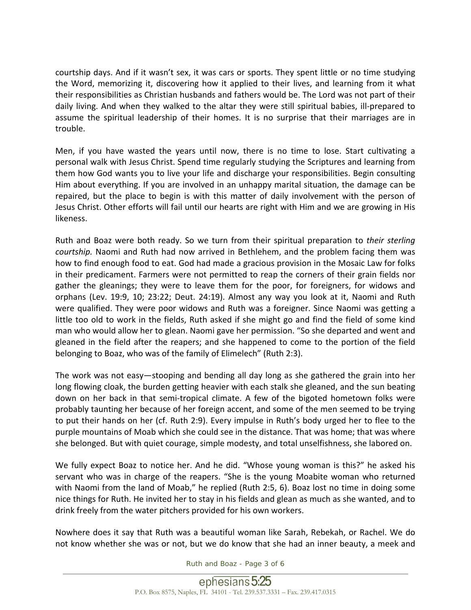courtship days. And if it wasn't sex, it was cars or sports. They spent little or no time studying the Word, memorizing it, discovering how it applied to their lives, and learning from it what their responsibilities as Christian husbands and fathers would be. The Lord was not part of their daily living. And when they walked to the altar they were still spiritual babies, ill‐prepared to assume the spiritual leadership of their homes. It is no surprise that their marriages are in trouble.

Men, if you have wasted the years until now, there is no time to lose. Start cultivating a personal walk with Jesus Christ. Spend time regularly studying the Scriptures and learning from them how God wants you to live your life and discharge your responsibilities. Begin consulting Him about everything. If you are involved in an unhappy marital situation, the damage can be repaired, but the place to begin is with this matter of daily involvement with the person of Jesus Christ. Other efforts will fail until our hearts are right with Him and we are growing in His likeness.

Ruth and Boaz were both ready. So we turn from their spiritual preparation to *their sterling courtship.* Naomi and Ruth had now arrived in Bethlehem, and the problem facing them was how to find enough food to eat. God had made a gracious provision in the Mosaic Law for folks in their predicament. Farmers were not permitted to reap the corners of their grain fields nor gather the gleanings; they were to leave them for the poor, for foreigners, for widows and orphans (Lev. 19:9, 10; 23:22; Deut. 24:19). Almost any way you look at it, Naomi and Ruth were qualified. They were poor widows and Ruth was a foreigner. Since Naomi was getting a little too old to work in the fields, Ruth asked if she might go and find the field of some kind man who would allow her to glean. Naomi gave her permission. "So she departed and went and gleaned in the field after the reapers; and she happened to come to the portion of the field belonging to Boaz, who was of the family of Elimelech" (Ruth 2:3).

The work was not easy—stooping and bending all day long as she gathered the grain into her long flowing cloak, the burden getting heavier with each stalk she gleaned, and the sun beating down on her back in that semi-tropical climate. A few of the bigoted hometown folks were probably taunting her because of her foreign accent, and some of the men seemed to be trying to put their hands on her (cf. Ruth 2:9). Every impulse in Ruth's body urged her to flee to the purple mountains of Moab which she could see in the distance. That was home; that was where she belonged. But with quiet courage, simple modesty, and total unselfishness, she labored on.

We fully expect Boaz to notice her. And he did. "Whose young woman is this?" he asked his servant who was in charge of the reapers. "She is the young Moabite woman who returned with Naomi from the land of Moab," he replied (Ruth 2:5, 6). Boaz lost no time in doing some nice things for Ruth. He invited her to stay in his fields and glean as much as she wanted, and to drink freely from the water pitchers provided for his own workers.

Nowhere does it say that Ruth was a beautiful woman like Sarah, Rebekah, or Rachel. We do not know whether she was or not, but we do know that she had an inner beauty, a meek and

Ruth and Boaz - Page 3 of 6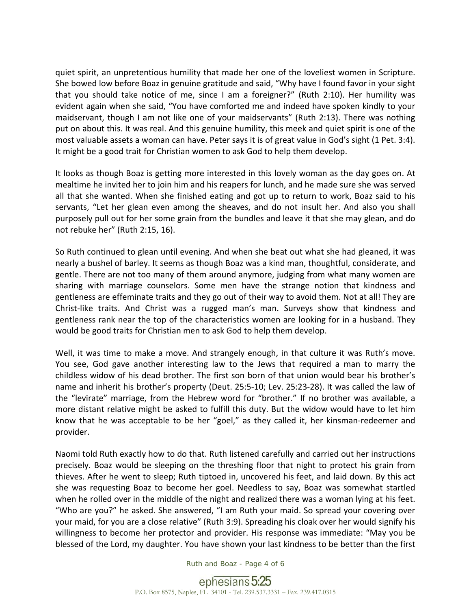quiet spirit, an unpretentious humility that made her one of the loveliest women in Scripture. She bowed low before Boaz in genuine gratitude and said, "Why have I found favor in your sight that you should take notice of me, since I am a foreigner?" (Ruth 2:10). Her humility was evident again when she said, "You have comforted me and indeed have spoken kindly to your maidservant, though I am not like one of your maidservants" (Ruth 2:13). There was nothing put on about this. It was real. And this genuine humility, this meek and quiet spirit is one of the most valuable assets a woman can have. Peter says it is of great value in God's sight (1 Pet. 3:4). It might be a good trait for Christian women to ask God to help them develop.

It looks as though Boaz is getting more interested in this lovely woman as the day goes on. At mealtime he invited her to join him and his reapers for lunch, and he made sure she was served all that she wanted. When she finished eating and got up to return to work, Boaz said to his servants, "Let her glean even among the sheaves, and do not insult her. And also you shall purposely pull out for her some grain from the bundles and leave it that she may glean, and do not rebuke her" (Ruth 2:15, 16).

So Ruth continued to glean until evening. And when she beat out what she had gleaned, it was nearly a bushel of barley. It seems as though Boaz was a kind man, thoughtful, considerate, and gentle. There are not too many of them around anymore, judging from what many women are sharing with marriage counselors. Some men have the strange notion that kindness and gentleness are effeminate traits and they go out of their way to avoid them. Not at all! They are Christ‐like traits. And Christ was a rugged man's man. Surveys show that kindness and gentleness rank near the top of the characteristics women are looking for in a husband. They would be good traits for Christian men to ask God to help them develop.

Well, it was time to make a move. And strangely enough, in that culture it was Ruth's move. You see, God gave another interesting law to the Jews that required a man to marry the childless widow of his dead brother. The first son born of that union would bear his brother's name and inherit his brother's property (Deut. 25:5‐10; Lev. 25:23‐28). It was called the law of the "levirate" marriage, from the Hebrew word for "brother." If no brother was available, a more distant relative might be asked to fulfill this duty. But the widow would have to let him know that he was acceptable to be her "goel," as they called it, her kinsman-redeemer and provider.

Naomi told Ruth exactly how to do that. Ruth listened carefully and carried out her instructions precisely. Boaz would be sleeping on the threshing floor that night to protect his grain from thieves. After he went to sleep; Ruth tiptoed in, uncovered his feet, and laid down. By this act she was requesting Boaz to become her goel. Needless to say, Boaz was somewhat startled when he rolled over in the middle of the night and realized there was a woman lying at his feet. "Who are you?" he asked. She answered, "I am Ruth your maid. So spread your covering over your maid, for you are a close relative" (Ruth 3:9). Spreading his cloak over her would signify his willingness to become her protector and provider. His response was immediate: "May you be blessed of the Lord, my daughter. You have shown your last kindness to be better than the first

Ruth and Boaz - Page 4 of 6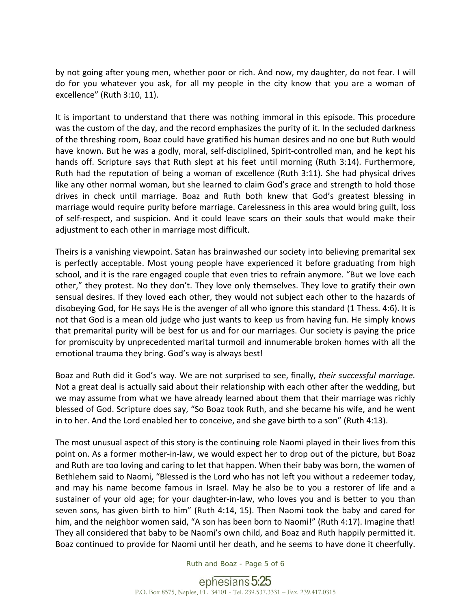by not going after young men, whether poor or rich. And now, my daughter, do not fear. I will do for you whatever you ask, for all my people in the city know that you are a woman of excellence" (Ruth 3:10, 11).

It is important to understand that there was nothing immoral in this episode. This procedure was the custom of the day, and the record emphasizes the purity of it. In the secluded darkness of the threshing room, Boaz could have gratified his human desires and no one but Ruth would have known. But he was a godly, moral, self-disciplined, Spirit-controlled man, and he kept his hands off. Scripture says that Ruth slept at his feet until morning (Ruth 3:14). Furthermore, Ruth had the reputation of being a woman of excellence (Ruth 3:11). She had physical drives like any other normal woman, but she learned to claim God's grace and strength to hold those drives in check until marriage. Boaz and Ruth both knew that God's greatest blessing in marriage would require purity before marriage. Carelessness in this area would bring guilt, loss of self-respect, and suspicion. And it could leave scars on their souls that would make their adjustment to each other in marriage most difficult.

Theirs is a vanishing viewpoint. Satan has brainwashed our society into believing premarital sex is perfectly acceptable. Most young people have experienced it before graduating from high school, and it is the rare engaged couple that even tries to refrain anymore. "But we love each other," they protest. No they don't. They love only themselves. They love to gratify their own sensual desires. If they loved each other, they would not subject each other to the hazards of disobeying God, for He says He is the avenger of all who ignore this standard (1 Thess. 4:6). It is not that God is a mean old judge who just wants to keep us from having fun. He simply knows that premarital purity will be best for us and for our marriages. Our society is paying the price for promiscuity by unprecedented marital turmoil and innumerable broken homes with all the emotional trauma they bring. God's way is always best!

Boaz and Ruth did it God's way. We are not surprised to see, finally, *their successful marriage.* Not a great deal is actually said about their relationship with each other after the wedding, but we may assume from what we have already learned about them that their marriage was richly blessed of God. Scripture does say, "So Boaz took Ruth, and she became his wife, and he went in to her. And the Lord enabled her to conceive, and she gave birth to a son" (Ruth 4:13).

The most unusual aspect of this story is the continuing role Naomi played in their lives from this point on. As a former mother-in-law, we would expect her to drop out of the picture, but Boaz and Ruth are too loving and caring to let that happen. When their baby was born, the women of Bethlehem said to Naomi, "Blessed is the Lord who has not left you without a redeemer today, and may his name become famous in Israel. May he also be to you a restorer of life and a sustainer of your old age; for your daughter‐in‐law, who loves you and is better to you than seven sons, has given birth to him" (Ruth 4:14, 15). Then Naomi took the baby and cared for him, and the neighbor women said, "A son has been born to Naomi!" (Ruth 4:17). Imagine that! They all considered that baby to be Naomi's own child, and Boaz and Ruth happily permitted it. Boaz continued to provide for Naomi until her death, and he seems to have done it cheerfully.

Ruth and Boaz - Page 5 of 6